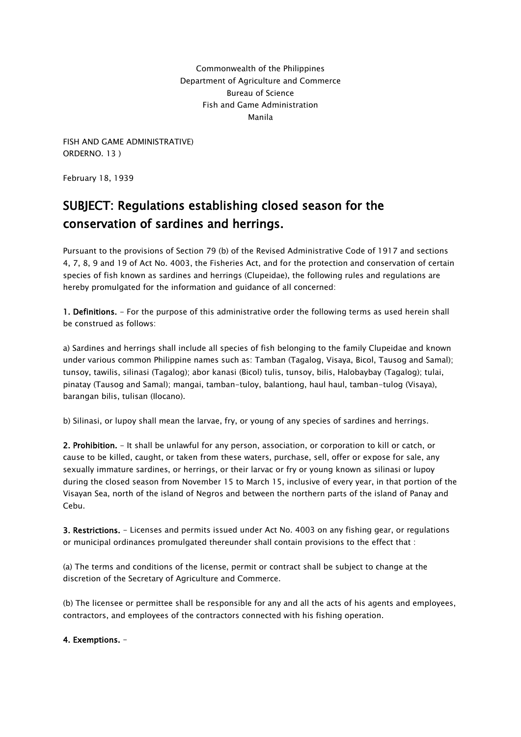Commonwealth of the Philippines Department of Agriculture and Commerce Bureau of Science Fish and Game Administration Manila

FISH AND GAME ADMINISTRATIVE) ORDERNO. 13 )

February 18, 1939

## SUBJECT: Regulations establishing closed season for the conservation of sardines and herrings.

Pursuant to the provisions of Section 79 (b) of the Revised Administrative Code of 1917 and sections 4, 7, 8, 9 and 19 of Act No. 4003, the Fisheries Act, and for the protection and conservation of certain species of fish known as sardines and herrings (Clupeidae), the following rules and regulations are hereby promulgated for the information and guidance of all concerned:

1. Definitions. - For the purpose of this administrative order the following terms as used herein shall be construed as follows:

a) Sardines and herrings shall include all species of fish belonging to the family Clupeidae and known under various common Philippine names such as: Tamban (Tagalog, Visaya, Bicol, Tausog and Samal); tunsoy, tawilis, silinasi (Tagalog); abor kanasi (Bicol) tulis, tunsoy, bilis, Halobaybay (Tagalog); tulai, pinatay (Tausog and Samal); mangai, tamban-tuloy, balantiong, haul haul, tamban-tulog (Visaya), barangan bilis, tulisan (Ilocano).

b) Silinasi, or lupoy shall mean the larvae, fry, or young of any species of sardines and herrings.

2. Prohibition. - It shall be unlawful for any person, association, or corporation to kill or catch, or cause to be killed, caught, or taken from these waters, purchase, sell, offer or expose for sale, any sexually immature sardines, or herrings, or their larvac or fry or young known as silinasi or lupoy during the closed season from November 15 to March 15, inclusive of every year, in that portion of the Visayan Sea, north of the island of Negros and between the northern parts of the island of Panay and Cebu.

3. Restrictions. - Licenses and permits issued under Act No. 4003 on any fishing gear, or regulations or municipal ordinances promulgated thereunder shall contain provisions to the effect that :

(a) The terms and conditions of the license, permit or contract shall be subject to change at the discretion of the Secretary of Agriculture and Commerce.

(b) The licensee or permittee shall be responsible for any and all the acts of his agents and employees, contractors, and employees of the contractors connected with his fishing operation.

4. Exemptions. -